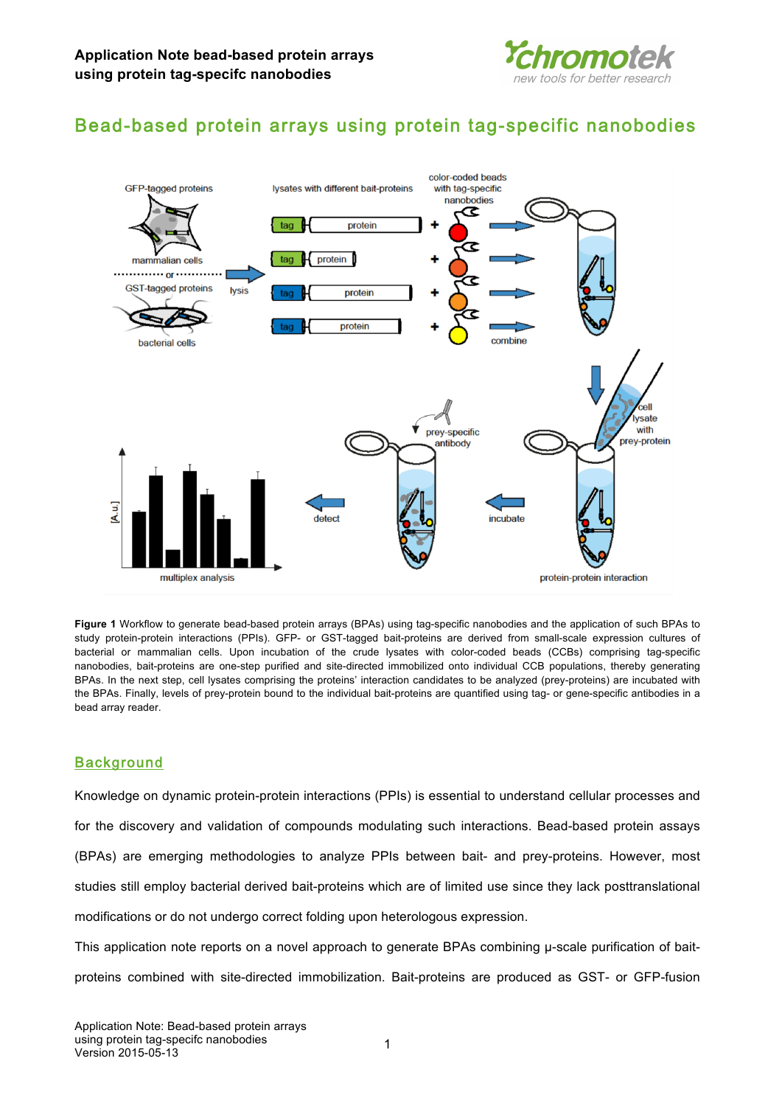

# Bead-based protein arrays using protein tag-specific nanobodies



**Figure 1** Workflow to generate bead-based protein arrays (BPAs) using tag-specific nanobodies and the application of such BPAs to study protein-protein interactions (PPIs). GFP- or GST-tagged bait-proteins are derived from small-scale expression cultures of bacterial or mammalian cells. Upon incubation of the crude lysates with color-coded beads (CCBs) comprising tag-specific nanobodies, bait-proteins are one-step purified and site-directed immobilized onto individual CCB populations, thereby generating BPAs. In the next step, cell lysates comprising the proteins' interaction candidates to be analyzed (prey-proteins) are incubated with the BPAs. Finally, levels of prey-protein bound to the individual bait-proteins are quantified using tag- or gene-specific antibodies in a bead array reader.

# **Background**

Knowledge on dynamic protein-protein interactions (PPIs) is essential to understand cellular processes and for the discovery and validation of compounds modulating such interactions. Bead-based protein assays (BPAs) are emerging methodologies to analyze PPIs between bait- and prey-proteins. However, most studies still employ bacterial derived bait-proteins which are of limited use since they lack posttranslational modifications or do not undergo correct folding upon heterologous expression.

This application note reports on a novel approach to generate BPAs combining µ-scale purification of baitproteins combined with site-directed immobilization. Bait-proteins are produced as GST- or GFP-fusion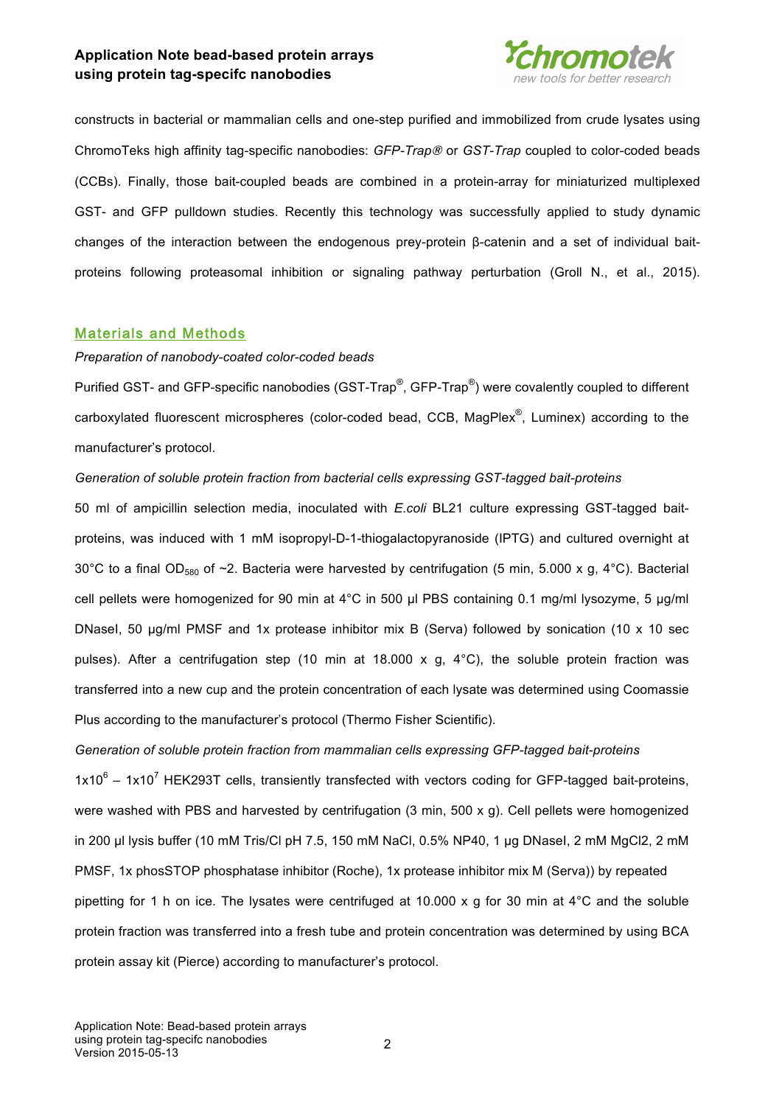

constructs in bacterial or mammalian cells and one-step purified and immobilized from crude lysates using ChromoTeks high affinity tag-specific nanobodies: *GFP-Trap*® or *GST-Trap* coupled to color-coded beads (CCBs). Finally, those bait-coupled beads are combined in a protein-array for miniaturized multiplexed GST- and GFP pulldown studies. Recently this technology was successfully applied to study dynamic changes of the interaction between the endogenous prey-protein β-catenin and a set of individual baitproteins following proteasomal inhibition or signaling pathway perturbation (Groll N., et al., 2015).

### Materials and Methods

### *Preparation of nanobody-coated color-coded beads*

Purified GST- and GFP-specific nanobodies (GST-Trap®, GFP-Trap®) were covalently coupled to different carboxylated fluorescent microspheres (color-coded bead, CCB, MagPlex®, Luminex) according to the manufacturer's protocol.

### *Generation of soluble protein fraction from bacterial cells expressing GST-tagged bait-proteins*

50 ml of ampicillin selection media, inoculated with *E.coli* BL21 culture expressing GST-tagged baitproteins, was induced with 1 mM isopropyl-D-1-thiogalactopyranoside (IPTG) and cultured overnight at 30°C to a final OD<sub>580</sub> of ~2. Bacteria were harvested by centrifugation (5 min, 5.000 x g, 4°C). Bacterial cell pellets were homogenized for 90 min at 4°C in 500 µl PBS containing 0.1 mg/ml lysozyme, 5 µg/ml DNaseI, 50 µg/ml PMSF and 1x protease inhibitor mix B (Serva) followed by sonication (10 x 10 sec pulses). After a centrifugation step (10 min at 18.000 x g, 4°C), the soluble protein fraction was transferred into a new cup and the protein concentration of each lysate was determined using Coomassie Plus according to the manufacturer's protocol (Thermo Fisher Scientific).

### *Generation of soluble protein fraction from mammalian cells expressing GFP-tagged bait-proteins*

 $1x10^6 - 1x10^7$  HEK293T cells, transiently transfected with vectors coding for GFP-tagged bait-proteins, were washed with PBS and harvested by centrifugation (3 min, 500 x g). Cell pellets were homogenized in 200 µl lysis buffer (10 mM Tris/Cl pH 7.5, 150 mM NaCl, 0.5% NP40, 1 µg DNasel, 2 mM MgCl2, 2 mM PMSF, 1x phosSTOP phosphatase inhibitor (Roche), 1x protease inhibitor mix M (Serva)) by repeated pipetting for 1 h on ice. The lysates were centrifuged at 10.000 x g for 30 min at 4°C and the soluble protein fraction was transferred into a fresh tube and protein concentration was determined by using BCA protein assay kit (Pierce) according to manufacturer's protocol.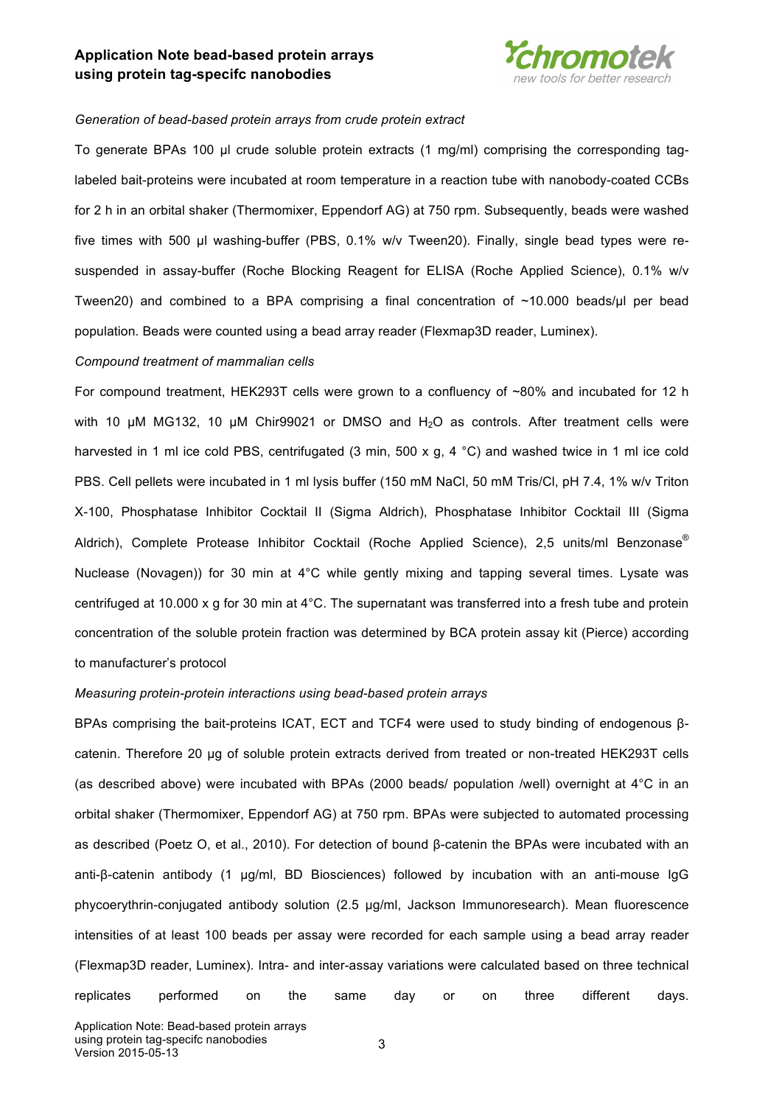

#### *Generation of bead-based protein arrays from crude protein extract*

To generate BPAs 100 µl crude soluble protein extracts (1 mg/ml) comprising the corresponding taglabeled bait-proteins were incubated at room temperature in a reaction tube with nanobody-coated CCBs for 2 h in an orbital shaker (Thermomixer, Eppendorf AG) at 750 rpm. Subsequently, beads were washed five times with 500 µl washing-buffer (PBS, 0.1% w/v Tween20). Finally, single bead types were resuspended in assay-buffer (Roche Blocking Reagent for ELISA (Roche Applied Science), 0.1% w/v Tween20) and combined to a BPA comprising a final concentration of  $~10.000$  beads/ $~\mu$ l per bead population. Beads were counted using a bead array reader (Flexmap3D reader, Luminex).

#### *Compound treatment of mammalian cells*

For compound treatment, HEK293T cells were grown to a confluency of ~80% and incubated for 12 h with 10  $\mu$ M MG132, 10  $\mu$ M Chir99021 or DMSO and H<sub>2</sub>O as controls. After treatment cells were harvested in 1 ml ice cold PBS, centrifugated (3 min, 500 x g, 4 °C) and washed twice in 1 ml ice cold PBS. Cell pellets were incubated in 1 ml lysis buffer (150 mM NaCl, 50 mM Tris/Cl, pH 7.4, 1% w/v Triton X-100, Phosphatase Inhibitor Cocktail II (Sigma Aldrich), Phosphatase Inhibitor Cocktail III (Sigma Aldrich), Complete Protease Inhibitor Cocktail (Roche Applied Science), 2,5 units/ml Benzonase® Nuclease (Novagen)) for 30 min at 4°C while gently mixing and tapping several times. Lysate was centrifuged at 10.000 x g for 30 min at 4°C. The supernatant was transferred into a fresh tube and protein concentration of the soluble protein fraction was determined by BCA protein assay kit (Pierce) according to manufacturer's protocol

#### *Measuring protein-protein interactions using bead-based protein arrays*

BPAs comprising the bait-proteins ICAT, ECT and TCF4 were used to study binding of endogenous βcatenin. Therefore 20 µg of soluble protein extracts derived from treated or non-treated HEK293T cells (as described above) were incubated with BPAs (2000 beads/ population /well) overnight at 4°C in an orbital shaker (Thermomixer, Eppendorf AG) at 750 rpm. BPAs were subjected to automated processing as described (Poetz O, et al., 2010). For detection of bound β-catenin the BPAs were incubated with an anti-β-catenin antibody (1 µg/ml, BD Biosciences) followed by incubation with an anti-mouse IgG phycoerythrin-conjugated antibody solution (2.5 µg/ml, Jackson Immunoresearch). Mean fluorescence intensities of at least 100 beads per assay were recorded for each sample using a bead array reader (Flexmap3D reader, Luminex). Intra- and inter-assay variations were calculated based on three technical replicates performed on the same day or on three different days.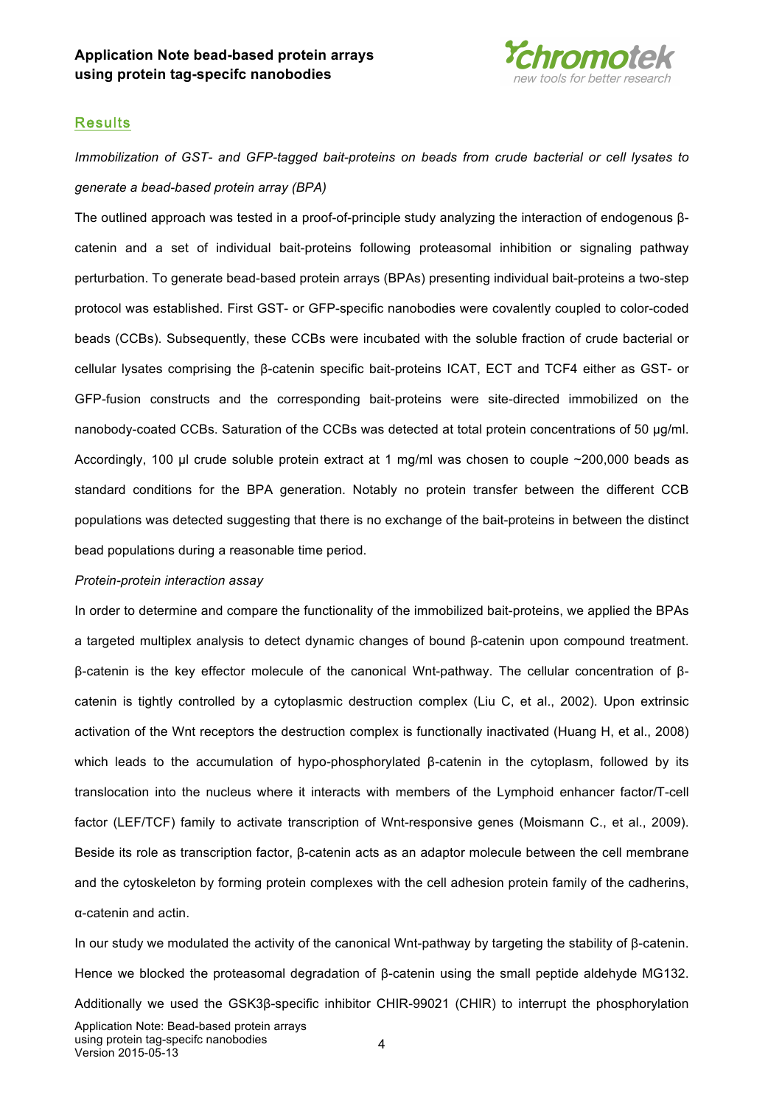

### **Results**

*Immobilization of GST- and GFP-tagged bait-proteins on beads from crude bacterial or cell lysates to generate a bead-based protein array (BPA)*

The outlined approach was tested in a proof-of-principle study analyzing the interaction of endogenous βcatenin and a set of individual bait-proteins following proteasomal inhibition or signaling pathway perturbation. To generate bead-based protein arrays (BPAs) presenting individual bait-proteins a two-step protocol was established. First GST- or GFP-specific nanobodies were covalently coupled to color-coded beads (CCBs). Subsequently, these CCBs were incubated with the soluble fraction of crude bacterial or cellular lysates comprising the β-catenin specific bait-proteins ICAT, ECT and TCF4 either as GST- or GFP-fusion constructs and the corresponding bait-proteins were site-directed immobilized on the nanobody-coated CCBs. Saturation of the CCBs was detected at total protein concentrations of 50 µg/ml. Accordingly, 100 µl crude soluble protein extract at 1 mg/ml was chosen to couple  $\sim$ 200,000 beads as standard conditions for the BPA generation. Notably no protein transfer between the different CCB populations was detected suggesting that there is no exchange of the bait-proteins in between the distinct bead populations during a reasonable time period.

#### *Protein-protein interaction assay*

In order to determine and compare the functionality of the immobilized bait-proteins, we applied the BPAs a targeted multiplex analysis to detect dynamic changes of bound β-catenin upon compound treatment. β-catenin is the key effector molecule of the canonical Wnt-pathway. The cellular concentration of βcatenin is tightly controlled by a cytoplasmic destruction complex (Liu C, et al., 2002). Upon extrinsic activation of the Wnt receptors the destruction complex is functionally inactivated (Huang H, et al., 2008) which leads to the accumulation of hypo-phosphorylated β-catenin in the cytoplasm, followed by its translocation into the nucleus where it interacts with members of the Lymphoid enhancer factor/T-cell factor (LEF/TCF) family to activate transcription of Wnt-responsive genes (Moismann C., et al., 2009). Beside its role as transcription factor, β-catenin acts as an adaptor molecule between the cell membrane and the cytoskeleton by forming protein complexes with the cell adhesion protein family of the cadherins, α-catenin and actin.

In our study we modulated the activity of the canonical Wnt-pathway by targeting the stability of β-catenin. Hence we blocked the proteasomal degradation of β-catenin using the small peptide aldehyde MG132. Additionally we used the GSK3β-specific inhibitor CHIR-99021 (CHIR) to interrupt the phosphorylation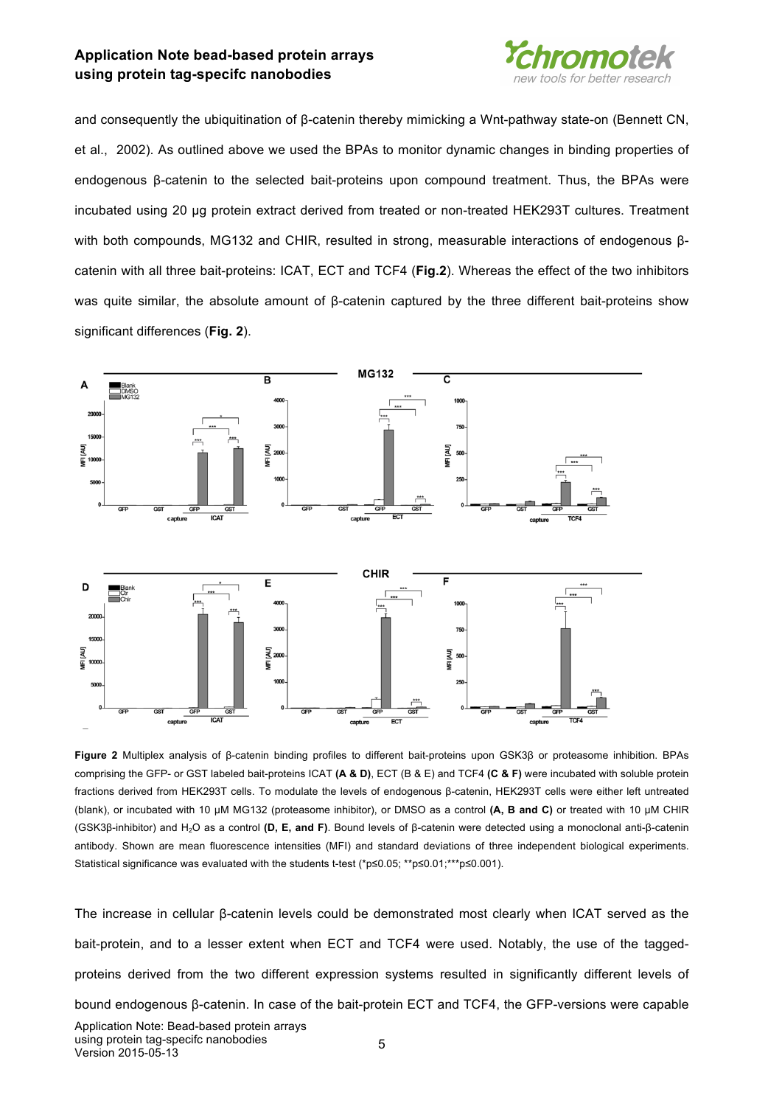

and consequently the ubiquitination of β-catenin thereby mimicking a Wnt-pathway state-on (Bennett CN, et al., 2002). As outlined above we used the BPAs to monitor dynamic changes in binding properties of endogenous β-catenin to the selected bait-proteins upon compound treatment. Thus, the BPAs were incubated using 20 µg protein extract derived from treated or non-treated HEK293T cultures. Treatment with both compounds, MG132 and CHIR, resulted in strong, measurable interactions of endogenous βcatenin with all three bait-proteins: ICAT, ECT and TCF4 (**Fig.2**). Whereas the effect of the two inhibitors was quite similar, the absolute amount of β-catenin captured by the three different bait-proteins show significant differences (**Fig. 2**).



**Figure 2** Multiplex analysis of β-catenin binding profiles to different bait-proteins upon GSK3β or proteasome inhibition. BPAs comprising the GFP- or GST labeled bait-proteins ICAT **(A & D)**, ECT (B & E) and TCF4 **(C & F)** were incubated with soluble protein fractions derived from HEK293T cells. To modulate the levels of endogenous β-catenin, HEK293T cells were either left untreated (blank), or incubated with 10 µM MG132 (proteasome inhibitor), or DMSO as a control **(A, B and C)** or treated with 10 µM CHIR (GSK3β-inhibitor) and H2O as a control **(D, E, and F)**. Bound levels of β-catenin were detected using a monoclonal anti-β-catenin antibody. Shown are mean fluorescence intensities (MFI) and standard deviations of three independent biological experiments. Statistical significance was evaluated with the students t-test (\*p≤0.05; \*\*p≤0.01;\*\*\*p≤0.001).

The increase in cellular β-catenin levels could be demonstrated most clearly when ICAT served as the bait-protein, and to a lesser extent when ECT and TCF4 were used. Notably, the use of the taggedproteins derived from the two different expression systems resulted in significantly different levels of bound endogenous β-catenin. In case of the bait-protein ECT and TCF4, the GFP-versions were capable